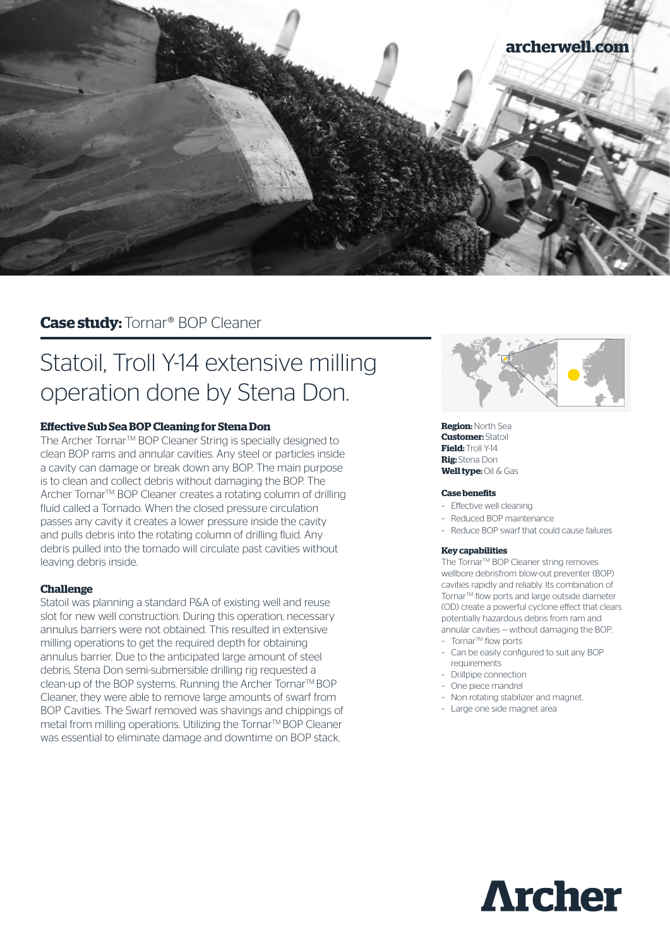

# **Case study:** Tornar® BOP Cleaner

# Statoil, Troll Y-14 extensive milling operation done by Stena Don.

# **Effective Sub Sea BOP Cleaning for Stena Don**

The Archer Tornar™ BOP Cleaner String is specially designed to clean BOP rams and annular cavities. Any steel or particles inside a cavity can damage or break down any BOP. The main purpose is to clean and collect debris without damaging the BOP. The Archer Tornar™ BOP Cleaner creates a rotating column of drilling fluid called a Tornado. When the closed pressure circulation passes any cavity it creates a lower pressure inside the cavity and pulls debris into the rotating column of drilling fluid. Any debris pulled into the tornado will circulate past cavities without leaving debris inside.

## **Challenge**

Statoil was planning a standard P&A of existing well and reuse slot for new well construction. During this operation, necessary annulus barriers were not obtained. This resulted in extensive milling operations to get the required depth for obtaining annulus barrier. Due to the anticipated large amount of steel debris, Stena Don semi-submersible drilling rig requested a clean-up of the BOP systems. Running the Archer Tornar™ BOP Cleaner, they were able to remove large amounts of swarf from BOP Cavities. The Swarf removed was shavings and chippings of metal from milling operations. Utilizing the Tornar™ BOP Cleaner was essential to eliminate damage and downtime on BOP stack.



**Region:** North Sea **Customer:** Statoil **Field:** Troll Y-14 **Rig:** Stena Don **Well type:** Oil & Gas

#### **Case benefits**

- Effective well cleaning
- Reduced BOP maintenance
- Reduce BOP swarf that could cause failures

#### **Key capabilities**

The Tornar™ BOP Cleaner string removes wellbore debrisfrom blow-out preventer (BOP) cavities rapidly and reliably. Its combination of Tornar™ flow ports and large outside diameter (OD) create a powerful cyclone effect that clears potentially hazardous debris from ram and annular cavities — without damaging the BOP.

- TornarTM flow ports
- Can be easily configured to suit any BOP requirements
- Drillpipe connection
- One piece mandrel
- Non rotating stabilizer and magnet.
- Large one side magnet area